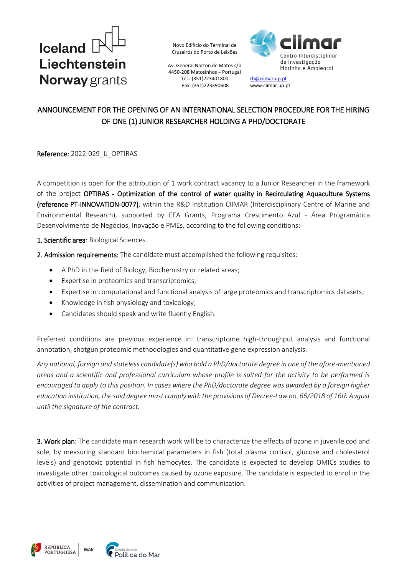

Av. General Norton de Matos s/n 4450-208 Matosinhos – Portugal Tel.: (351)223401800 Fax: (351)223390608



[rh@ciimar.up.pt](mailto:rh@ciimar.up.pt) www.ciimar.up.pt

## ANNOUNCEMENT FOR THE OPENING OF AN INTERNATIONAL SELECTION PROCEDURE FOR THE HIRING OF ONE (1) JUNIOR RESEARCHER HOLDING A PHD/DOCTORATE

Reference: 2022-029\_IJ\_OPTIRAS

A competition is open for the attribution of 1 work contract vacancy to a Junior Researcher in the framework of the project OPTIRAS - Optimization of the control of water quality in Recirculating Aquaculture Systems (reference PT-INNOVATION-0077), within the R&D Institution CIIMAR (Interdisciplinary Centre of Marine and Environmental Research), supported by EEA Grants, Programa Crescimento Azul - Área Programática Desenvolvimento de Negócios, Inovação e PMEs, according to the following conditions:

1. Scientific area: Biological Sciences.

2. Admission requirements: The candidate must accomplished the following requisites:

- A PhD in the field of Biology, Biochemistry or related areas;
- Expertise in proteomics and transcriptomics;
- Expertise in computational and functional analysis of large proteomics and transcriptomics datasets;
- Knowledge in fish physiology and toxicology;
- Candidates should speak and write fluently English.

Preferred conditions are previous experience in: transcriptome high-throughput analysis and functional annotation, shotgun proteomic methodologies and quantitative gene expression analysis.

*Any national, foreign and stateless candidate(s) who hold a PhD/doctorate degree in one of the afore-mentioned areas and a scientific and professional curriculum whose profile is suited for the activity to be performed is encouraged to apply to this position. In cases where the PhD/doctorate degree was awarded by a foreign higher education institution, the said degree must comply with the provisions of Decree-Law no. 66/2018 of 16th August until the signature of the contract.* 

3. Work plan: The candidate main research work will be to characterize the effects of ozone in juvenile cod and sole, by measuring standard biochemical parameters in fish (total plasma cortisol, glucose and cholesterol levels) and genotoxic potential in fish hemocytes. The candidate is expected to develop OMICs studies to investigate other toxicological outcomes caused by ozone exposure. The candidate is expected to enrol in the activities of project management, dissemination and communication.

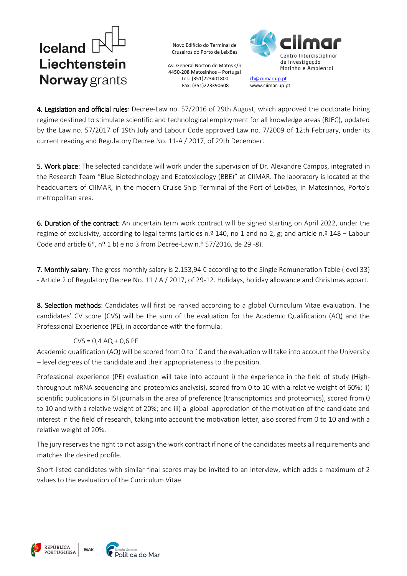# Iceland<sup>[</sup> Liechtenstein **Norway** grants

Novo Edifício do Terminal de Cruzeiros do Porto de Leixões

Av. General Norton de Matos s/n 4450-208 Matosinhos – Portugal Tel.: (351)223401800 Fax: (351)223390608



[rh@ciimar.up.pt](mailto:rh@ciimar.up.pt) www.ciimar.up.pt

4. Legislation and official rules: Decree-Law no. 57/2016 of 29th August, which approved the doctorate hiring regime destined to stimulate scientific and technological employment for all knowledge areas (RJEC), updated by the Law no. 57/2017 of 19th July and Labour Code approved Law no. 7/2009 of 12th February, under its current reading and Regulatory Decree No. 11-A / 2017, of 29th December.

5. Work place: The selected candidate will work under the supervision of Dr. Alexandre Campos, integrated in the Research Team "Blue Biotechnology and Ecotoxicology (BBE)" at CIIMAR. The laboratory is located at the headquarters of CIIMAR, in the modern Cruise Ship Terminal of the Port of Leixões, in Matosinhos, Porto's metropolitan area.

6. Duration of the contract: An uncertain term work contract will be signed starting on April 2022, under the regime of exclusivity, according to legal terms (articles n.º 140, no 1 and no 2, g; and article n.º 148 – Labour Code and article 6º, nº 1 b) e no 3 from Decree-Law n.º 57/2016, de 29 -8).

7. Monthly salary: The gross monthly salary is 2.153,94 € according to the Single Remuneration Table (level 33) - Article 2 of Regulatory Decree No. 11 / A / 2017, of 29-12. Holidays, holiday allowance and Christmas appart.

8. Selection methods: Candidates will first be ranked according to a global Curriculum Vitae evaluation. The candidates' CV score (CVS) will be the sum of the evaluation for the Academic Qualification (AQ) and the Professional Experience (PE), in accordance with the formula:

## $CVS = 0.4 AQ + 0.6 PE$

Academic qualification (AQ) will be scored from 0 to 10 and the evaluation will take into account the University – level degrees of the candidate and their appropriateness to the position.

Professional experience (PE) evaluation will take into account i) the experience in the field of study (Highthroughput mRNA sequencing and proteomics analysis), scored from 0 to 10 with a relative weight of 60%; ii) scientific publications in ISI journals in the area of preference (transcriptomics and proteomics), scored from 0 to 10 and with a relative weight of 20%; and iii) a global appreciation of the motivation of the candidate and interest in the field of research, taking into account the motivation letter, also scored from 0 to 10 and with a relative weight of 20%.

The jury reserves the right to not assign the work contract if none of the candidates meets all requirements and matches the desired profile.

Short-listed candidates with similar final scores may be invited to an interview, which adds a maximum of 2 values to the evaluation of the Curriculum Vitae.

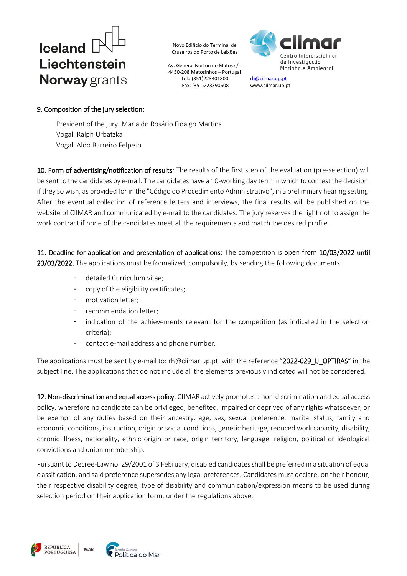

Av. General Norton de Matos s/n 4450-208 Matosinhos – Portugal Tel.: (351)223401800 Fax: (351)223390608



[rh@ciimar.up.pt](mailto:rh@ciimar.up.pt) www.ciimar.up.pt

### 9. Composition of the jury selection:

President of the jury: Maria do Rosário Fidalgo Martins Vogal: Ralph Urbatzka Vogal: Aldo Barreiro Felpeto

10. Form of advertising/notification of results: The results of the first step of the evaluation (pre-selection) will be sent to the candidates by e-mail. The candidates have a 10-working day term in which to contest the decision, if they so wish, as provided for in the "Código do Procedimento Administrativo", in a preliminary hearing setting. After the eventual collection of reference letters and interviews, the final results will be published on the website of CIIMAR and communicated by e-mail to the candidates. The jury reserves the right not to assign the work contract if none of the candidates meet all the requirements and match the desired profile.

11. Deadline for application and presentation of applications: The competition is open from 10/03/2022 until 23/03/2022. The applications must be formalized, compulsorily, by sending the following documents:

- detailed Curriculum vitae;
- copy of the eligibility certificates;
- motivation letter;
- recommendation letter;
- indication of the achievements relevant for the competition (as indicated in the selection criteria);
- contact e-mail address and phone number.

The applications must be sent by e-mail to: [rh@ciimar.up.pt](mailto:rh@ciimar.up.pt), with the reference "2022-029\_IJ\_OPTIRAS" in the subject line. The applications that do not include all the elements previously indicated will not be considered.

12. Non-discrimination and equal access policy: CIIMAR actively promotes a non-discrimination and equal access policy, wherefore no candidate can be privileged, benefited, impaired or deprived of any rights whatsoever, or be exempt of any duties based on their ancestry, age, sex, sexual preference, marital status, family and economic conditions, instruction, origin or social conditions, genetic heritage, reduced work capacity, disability, chronic illness, nationality, ethnic origin or race, origin territory, language, religion, political or ideological convictions and union membership.

Pursuant to Decree-Law no. 29/2001 of 3 February, disabled candidates shall be preferred in a situation of equal classification, and said preference supersedes any legal preferences. Candidates must declare, on their honour, their respective disability degree, type of disability and communication/expression means to be used during selection period on their application form, under the regulations above.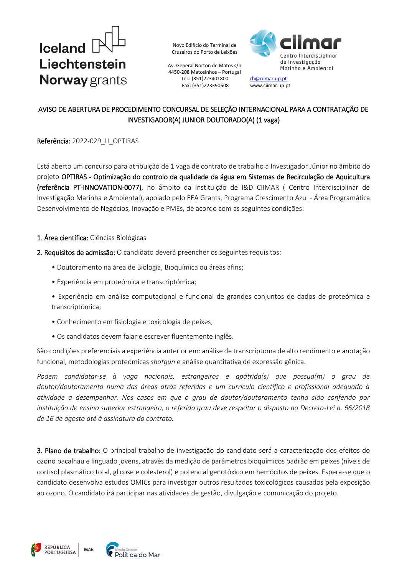

Av. General Norton de Matos s/n 4450-208 Matosinhos – Portugal Tel.: (351)223401800 Fax: (351)223390608



[rh@ciimar.up.pt](mailto:rh@ciimar.up.pt) www.ciimar.up.pt

## AVISO DE ABERTURA DE PROCEDIMENTO CONCURSAL DE SELEÇÃO INTERNACIONAL PARA A CONTRATAÇÃO DE INVESTIGADOR(A) JUNIOR DOUTORADO(A) (1 vaga)

#### Referência: 2022-029\_IJ\_OPTIRAS

Está aberto um concurso para atribuição de 1 vaga de contrato de trabalho a Investigador Júnior no âmbito do projeto OPTIRAS - Optimização do controlo da qualidade da água em Sistemas de Recirculação de Aquicultura (referência PT-INNOVATION-0077), no âmbito da Instituição de I&D CIIMAR ( Centro Interdisciplinar de Investigação Marinha e Ambiental), apoiado pelo EEA Grants, Programa Crescimento Azul - Área Programática Desenvolvimento de Negócios, Inovação e PMEs, de acordo com as seguintes condições:

- 1. Área científica: Ciências Biológicas
- 2. Requisitos de admissão: O candidato deverá preencher os seguintes requisitos:
	- Doutoramento na área de Biologia, Bioquímica ou áreas afins;
	- Experiência em proteómica e transcriptómica;
	- Experiência em análise computacional e funcional de grandes conjuntos de dados de proteómica e transcriptómica;
	- Conhecimento em fisiologia e toxicologia de peixes;
	- Os candidatos devem falar e escrever fluentemente inglês.

São condições preferenciais a experiência anterior em: análise de transcriptoma de alto rendimento e anotação funcional, metodologias proteómicas *shotgun* e análise quantitativa de expressão gênica.

*Podem candidatar-se à vaga nacionais, estrangeiros e apátrida(s) que possua(m) o grau de doutor/doutoramento numa das áreas atrás referidas e um currículo científico e profissional adequado à atividade a desempenhar. Nos casos em que o grau de doutor/doutoramento tenha sido conferido por instituição de ensino superior estrangeira, o referido grau deve respeitar o disposto no Decreto-Lei n. 66/2018 de 16 de agosto até à assinatura do contrato.*

3. Plano de trabalho: O principal trabalho de investigação do candidato será a caracterização dos efeitos do ozono bacalhau e linguado jovens, através da medição de parâmetros bioquímicos padrão em peixes (níveis de cortisol plasmático total, glicose e colesterol) e potencial genotóxico em hemócitos de peixes. Espera-se que o candidato desenvolva estudos OMICs para investigar outros resultados toxicológicos causados pela exposição ao ozono. O candidato irá participar nas atividades de gestão, divulgação e comunicação do projeto.

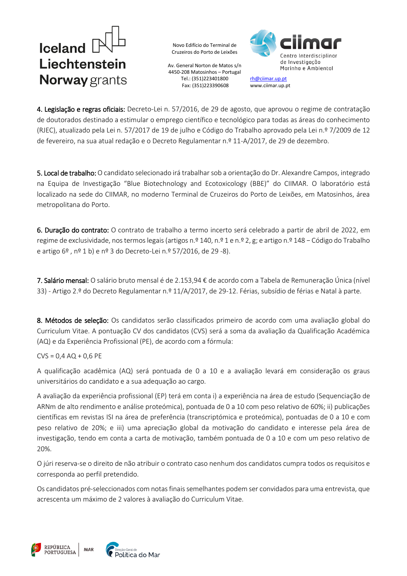# $l$ celand  $l$ Liechtenstein Norway grants

Novo Edifício do Terminal de Cruzeiros do Porto de Leixões

Av. General Norton de Matos s/n 4450-208 Matosinhos – Portugal Tel.: (351)223401800 Fax: (351)223390608



[rh@ciimar.up.pt](mailto:rh@ciimar.up.pt) www.ciimar.up.pt

4. Legislação e regras oficiais: Decreto-Lei n. 57/2016, de 29 de agosto, que aprovou o regime de contratação de doutorados destinado a estimular o emprego científico e tecnológico para todas as áreas do conhecimento (RJEC), atualizado pela Lei n. 57/2017 de 19 de julho e Código do Trabalho aprovado pela Lei n.º 7/2009 de 12 de fevereiro, na sua atual redação e o Decreto Regulamentar n.º 11-A/2017, de 29 de dezembro.

5. Local de trabalho: O candidato selecionado irá trabalhar sob a orientação do Dr. Alexandre Campos, integrado na Equipa de Investigação "Blue Biotechnology and Ecotoxicology (BBE)" do CIIMAR. O laboratório está localizado na sede do CIIMAR, no moderno Terminal de Cruzeiros do Porto de Leixões, em Matosinhos, área metropolitana do Porto.

6. Duração do contrato: O contrato de trabalho a termo incerto será celebrado a partir de abril de 2022, em regime de exclusividade, nos termos legais (artigos n.º 140, n.º 1 e n.º 2, g; e artigo n.º 148 – Código do Trabalho e artigo 6º , nº 1 b) e nº 3 do Decreto-Lei n.º 57/2016, de 29 -8).

7. Salário mensal: O salário bruto mensal é de 2.153,94 € de acordo com a Tabela de Remuneração Única (nível 33) - Artigo 2.º do Decreto Regulamentar n.º 11/A/2017, de 29-12. Férias, subsídio de férias e Natal à parte.

8. Métodos de seleção: Os candidatos serão classificados primeiro de acordo com uma avaliação global do Curriculum Vitae. A pontuação CV dos candidatos (CVS) será a soma da avaliação da Qualificação Académica (AQ) e da Experiência Profissional (PE), de acordo com a fórmula:

### $CVS = 0.4 AQ + 0.6 PE$

A qualificação acadêmica (AQ) será pontuada de 0 a 10 e a avaliação levará em consideração os graus universitários do candidato e a sua adequação ao cargo.

A avaliação da experiência profissional (EP) terá em conta i) a experiência na área de estudo (Sequenciação de ARNm de alto rendimento e análise proteómica), pontuada de 0 a 10 com peso relativo de 60%; ii) publicações científicas em revistas ISI na área de preferência (transcriptómica e proteómica), pontuadas de 0 a 10 e com peso relativo de 20%; e iii) uma apreciação global da motivação do candidato e interesse pela área de investigação, tendo em conta a carta de motivação, também pontuada de 0 a 10 e com um peso relativo de 20%.

O júri reserva-se o direito de não atribuir o contrato caso nenhum dos candidatos cumpra todos os requisitos e corresponda ao perfil pretendido.

Os candidatos pré-seleccionados com notas finais semelhantes podem ser convidados para uma entrevista, que acrescenta um máximo de 2 valores à avaliação do Curriculum Vitae.